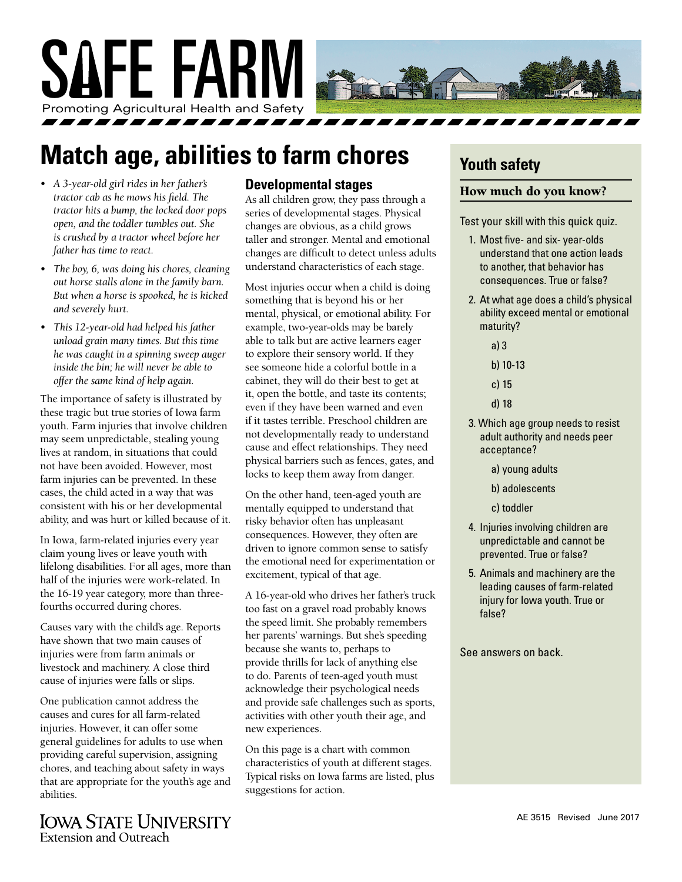

# **Match age, abilities to farm chores**

- *• A 3-year-old girl rides in her father's tractor cab as he mows his field. The tractor hits a bump, the locked door pops open, and the toddler tumbles out. She is crushed by a tractor wheel before her father has time to react.*
- *• The boy, 6, was doing his chores, cleaning out horse stalls alone in the family barn. But when a horse is spooked, he is kicked and severely hurt.*
- *• This 12-year-old had helped his father unload grain many times. But this time he was caught in a spinning sweep auger inside the bin; he will never be able to offer the same kind of help again.*

The importance of safety is illustrated by these tragic but true stories of Iowa farm youth. Farm injuries that involve children may seem unpredictable, stealing young lives at random, in situations that could not have been avoided. However, most farm injuries can be prevented. In these cases, the child acted in a way that was consistent with his or her developmental ability, and was hurt or killed because of it.

In Iowa, farm-related injuries every year claim young lives or leave youth with lifelong disabilities. For all ages, more than half of the injuries were work-related. In the 16-19 year category, more than threefourths occurred during chores.

Causes vary with the child's age. Reports have shown that two main causes of injuries were from farm animals or livestock and machinery. A close third cause of injuries were falls or slips.

One publication cannot address the causes and cures for all farm-related injuries. However, it can offer some general guidelines for adults to use when providing careful supervision, assigning chores, and teaching about safety in ways that are appropriate for the youth's age and abilities.



#### **Developmental stages**

As all children grow, they pass through a series of developmental stages. Physical changes are obvious, as a child grows taller and stronger. Mental and emotional changes are difficult to detect unless adults understand characteristics of each stage.

Most injuries occur when a child is doing something that is beyond his or her mental, physical, or emotional ability. For example, two-year-olds may be barely able to talk but are active learners eager to explore their sensory world. If they see someone hide a colorful bottle in a cabinet, they will do their best to get at it, open the bottle, and taste its contents; even if they have been warned and even if it tastes terrible. Preschool children are not developmentally ready to understand cause and effect relationships. They need physical barriers such as fences, gates, and locks to keep them away from danger.

On the other hand, teen-aged youth are mentally equipped to understand that risky behavior often has unpleasant consequences. However, they often are driven to ignore common sense to satisfy the emotional need for experimentation or excitement, typical of that age.

A 16-year-old who drives her father's truck too fast on a gravel road probably knows the speed limit. She probably remembers her parents' warnings. But she's speeding because she wants to, perhaps to provide thrills for lack of anything else to do. Parents of teen-aged youth must acknowledge their psychological needs and provide safe challenges such as sports, activities with other youth their age, and new experiences.

On this page is a chart with common characteristics of youth at different stages. Typical risks on Iowa farms are listed, plus suggestions for action.

### **Youth safety**

#### How much do you know?

Test your skill with this quick quiz.

- 1. Most five- and six- year-olds understand that one action leads to another, that behavior has consequences. True or false?
- 2. At what age does a child's physical ability exceed mental or emotional maturity?
	- a) 3
	- b) 10-13
	- c) 15
	- d) 18
- 3. Which age group needs to resist adult authority and needs peer acceptance?
	- a) young adults
	- b) adolescents
	- c) toddler
- 4. Injuries involving children are unpredictable and cannot be prevented. True or false?
- 5. Animals and machinery are the leading causes of farm-related injury for Iowa youth. True or false?

See answers on back.